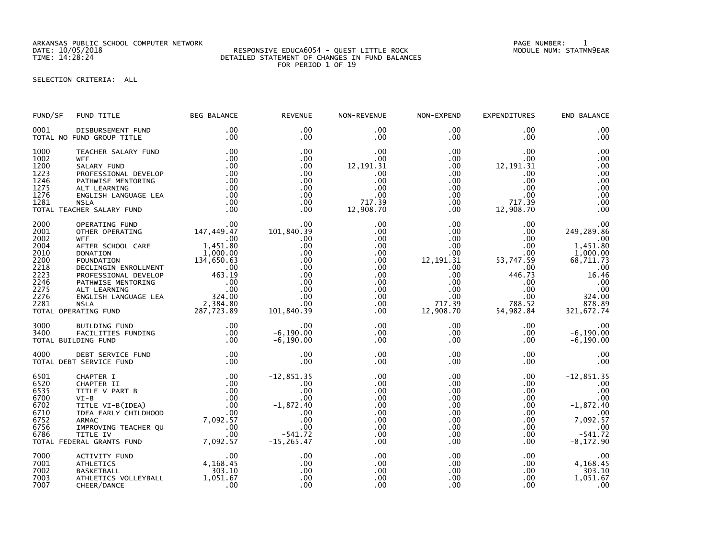ARKANSAS PUBLIC SCHOOL COMPUTER NETWORK PAGE NUMBER: 1

## DATE: 10/05/2018 RESPONSIVE EDUCA6054 - QUEST LITTLE ROCK MODULE NUM: STATMN9EAR TIME: 14:28:24 DETAILED STATEMENT OF CHANGES IN FUND BALANCES FOR PERIOD 1 OF 19

SELECTION CRITERIA: ALL

| FUND/SF                                                                                      | FUND TITLE                                                                                                                                                                                                                                                                                                                                           | <b>BEG BALANCE</b>                                               | <b>REVENUE</b>                                                                                                                     | NON-REVENUE                                                                                                                          | NON-EXPEND                                                                                                                                        | <b>EXPENDITURES</b>                                                                                                          | END BALANCE                                                                                                                                            |
|----------------------------------------------------------------------------------------------|------------------------------------------------------------------------------------------------------------------------------------------------------------------------------------------------------------------------------------------------------------------------------------------------------------------------------------------------------|------------------------------------------------------------------|------------------------------------------------------------------------------------------------------------------------------------|--------------------------------------------------------------------------------------------------------------------------------------|---------------------------------------------------------------------------------------------------------------------------------------------------|------------------------------------------------------------------------------------------------------------------------------|--------------------------------------------------------------------------------------------------------------------------------------------------------|
| 0001                                                                                         | DISBURSEMENT FUND<br>TOTAL NO FUND GROUP TITLE                                                                                                                                                                                                                                                                                                       | $.00 \,$<br>.00                                                  | $.00 \times$<br>.00.                                                                                                               | $.00 \,$<br>$.00 \,$                                                                                                                 | $.00 \,$<br>$.00 \,$                                                                                                                              | $.00 \,$<br>$.00 \,$                                                                                                         | .00<br>.00                                                                                                                                             |
| 1000<br>1002<br>1200<br>1223<br>1246<br>1275<br>1276<br>1281                                 | TEACHER SALARY FUND<br><b>WFF</b><br>SALARY FUND<br>PROFESSIONAL DEVELOP<br>PATHWISE MENTORING<br>ALT LEARNING<br>ENGLISH LANGUAGE LEA<br>NSLA<br><b>NSLA</b><br>TOTAL TEACHER SALARY FUND                                                                                                                                                           | .00<br>.00<br>.00<br>.00<br>$100$<br>$0.00$<br>.00<br>.00<br>.00 | .00<br>.00<br>.00<br>.00<br>.00<br>.00<br>.00<br>.00<br>.00                                                                        | .00<br>$.00 \,$<br>12, 191.31<br>.00.<br>.00<br>.00<br>.00<br>717.39<br>12,908.70                                                    | $.00 \,$<br>$.00\,$<br>$.00\,$<br>$.00 \,$<br>$.00 \,$<br>$.00\,$<br>$.00\,$<br>$.00 \,$<br>.00                                                   | .00.<br>$.00 \,$<br>12, 191. 31<br>.00.<br>.00<br>.00<br>.00<br>717.39<br>12,908.70                                          | .00<br>.00<br>.00<br>.00<br>.00<br>.00<br>.00<br>.00<br>.00                                                                                            |
| 2000<br>2001<br>2002<br>2004<br>2010<br>2200<br>2218<br>2223<br>2246<br>2275<br>2276<br>2281 | 00.<br>OPERATING FUND<br>OTHER OPERATING<br>WITH 147,449.47<br><b>WFF</b><br>WEREM CHOOL CARE 1,451.80<br>NETER SCHOOL CARE 1,451.80<br>DONATION 1,000.00<br>FOUNDATION 134,650.63<br>DECLINGIN ENROLLMENT 1.000.00<br>PROFESSIONAL DEVELOP 463.19<br>PATHWISE MENTORING .00<br>ALT LEARNING .00<br>ALT LEARNING .00<br>NSLA<br>TOTAL OPERATING FUND | $\overline{a}$ .00                                               | .00<br>101,840.39<br>.00<br>.00<br>.00<br>.00<br>.00<br>.00<br>.00<br>.00<br>.00<br>00.<br>101,840.39                              | .00<br>.00<br>$.00 \,$<br>$.00 \,$<br>$.00 \,$<br>.00<br>$.00 \,$<br>$.00 \,$<br>$.00 \,$<br>$.00 \,$<br>$.00 \,$<br>.00<br>$.00 \,$ | $.00 \,$<br>$.00\,$<br>$.00\,$<br>.00<br>$.00\,$<br>$12,191.\overline{31}$<br>$.00 \,$<br>$.00\,$<br>.00<br>.00<br>$.00\,$<br>717.39<br>12,908.70 | $.00 \,$<br>$.00 \,$<br>$.00\,$<br>$.00 \,$<br>00<br>53,747.59<br>00.<br>446.73<br>.00<br>.00<br>.00<br>788.52<br>54,982.84  | .00<br>249,289.86<br>.00<br>1,451.80<br>1,000.00<br>68,711.73<br>.00<br>16.46<br>$\overline{\phantom{0}}$ .00<br>.00<br>324.00<br>878.89<br>321,672.74 |
| 3000<br>3400                                                                                 | BUILDING FUND<br>FACILITIES FUNDING .00<br>DING FUND .00.<br>TOTAL BUILDING FUND                                                                                                                                                                                                                                                                     |                                                                  | .00<br>$-6, 190.00$<br>$-6, 190.00$                                                                                                | $.00 \,$<br>$.00 \,$<br>$.00 \,$                                                                                                     | $.00 \,$<br>$.00 \,$<br>$.00 \,$                                                                                                                  | $.00 \,$<br>$.00 \,$<br>$.00 \,$                                                                                             | $.00$<br>-6,190.00<br>$-6, 190.00$                                                                                                                     |
| 4000                                                                                         | DEBT SERVICE FUND<br>TOTAL DEBT SERVICE FUND                                                                                                                                                                                                                                                                                                         | $\begin{array}{c} .00 \\ .00 \end{array}$                        | .00<br>.00                                                                                                                         | .00<br>.00                                                                                                                           | $.00 \,$<br>$.00 \,$                                                                                                                              | $.00 \,$<br>$.00 \,$                                                                                                         | .00<br>.00                                                                                                                                             |
| 6501<br>6520<br>6535<br>6700<br>6702<br>6710<br>6752<br>6756<br>6786                         | CHAPTER I<br>CHAPTER II 00<br>TITLE V PART B 00<br>VI-B 00<br>TITLE VI-B(IDEA) 00<br>TITLE VI-B(IDEA) 00<br>IDEA EARLY CHILDHOOD 7,092.57<br>IMPROVING TEACHER QU 00<br>TITLE IV 00<br>TITLE IV 00<br>FRAL GRANTS FUND 7,092.57<br>TOTAL FEDERAL GRANTS FUND                                                                                         |                                                                  | $-12,851.35$<br>.00<br>$-1,872.00$ $-1,872.40$ $-0.00$ $-0.00$ $-541.72$ $-15-265.77$<br>.00<br>.00<br>.00<br>541.72<br>-15,265.47 | .00<br>.00<br>.00<br>.00<br>.00<br>.00<br>.00<br>.00<br>$.00 \,$<br>.00                                                              | $.00 \,$<br>.00<br>$.00 \,$<br>$.00 \,$<br>$.00 \,$<br>$.00 \cdot$<br>$.00 \,$<br>$.00 \,$<br>$.00 \,$<br>$.00 \,$                                | $.00 \,$<br>$.00 \,$<br>$.00 \,$<br>$.00 \,$<br>$.00 \,$<br>$.00 \,$<br>$.00 \,$<br>.00 <sub>1</sub><br>$.00 \,$<br>$.00 \,$ | $-12,851.35$<br>.00<br>.00<br>.00<br>$-1,872.40$<br>.00<br>7,092.57<br>.00<br>$-541.72$<br>$-8, 172.90$                                                |
| 7000<br>7001<br>7002<br>7003<br>7007                                                         | ACTIVITY FUND<br><b>ATHLETICS</b><br><b>BASKETBALL</b><br>ATHLETICS VOLLEYBALL<br>CHEER/DANCE                                                                                                                                                                                                                                                        | 4, 168.45<br>$303.10$<br>1,051.67<br>.00                         | .00<br>.00<br>.00<br>.00<br>.00                                                                                                    | .00<br>.00<br>.00<br>.00<br>.00                                                                                                      | $.00 \,$<br>$.00 \cdot$<br>$.00 \,$<br>$.00 \,$<br>.00                                                                                            | $.00 \,$<br>$.00 \,$<br>$.00 \,$<br>.00<br>.00.                                                                              | .00<br>4,168.45<br>303.10<br>1,051.67<br>.00                                                                                                           |